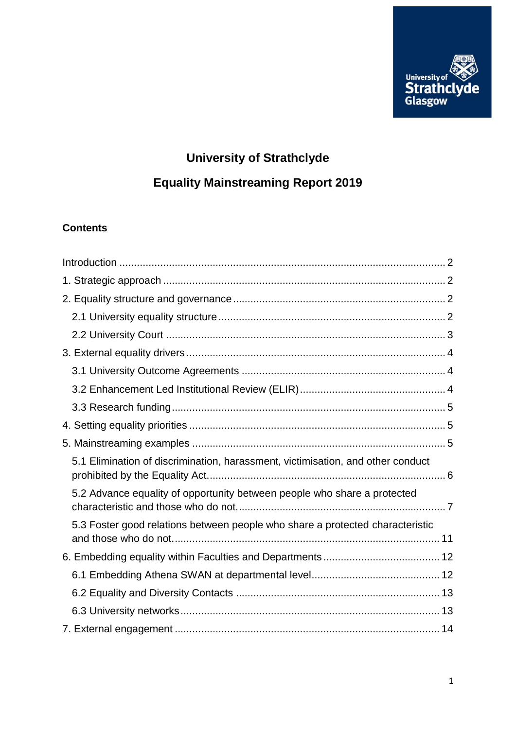

# **University of Strathclyde**

# **Equality Mainstreaming Report 2019**

# **Contents**

| 5.1 Elimination of discrimination, harassment, victimisation, and other conduct |
|---------------------------------------------------------------------------------|
| 5.2 Advance equality of opportunity between people who share a protected        |
| 5.3 Foster good relations between people who share a protected characteristic   |
|                                                                                 |
|                                                                                 |
|                                                                                 |
|                                                                                 |
|                                                                                 |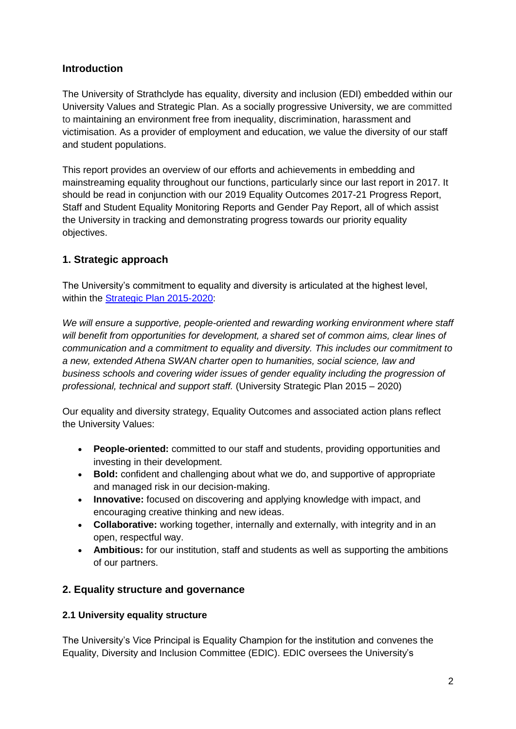# <span id="page-1-0"></span>**Introduction**

The University of Strathclyde has equality, diversity and inclusion (EDI) embedded within our University Values and Strategic Plan. As a socially progressive University, we are committed to maintaining an environment free from inequality, discrimination, harassment and victimisation. As a provider of employment and education, we value the diversity of our staff and student populations.

This report provides an overview of our efforts and achievements in embedding and mainstreaming equality throughout our functions, particularly since our last report in 2017. It should be read in conjunction with our 2019 Equality Outcomes 2017-21 Progress Report, Staff and Student Equality Monitoring Reports and Gender Pay Report, all of which assist the University in tracking and demonstrating progress towards our priority equality objectives.

# <span id="page-1-1"></span>**1. Strategic approach**

The University's commitment to equality and diversity is articulated at the highest level, within the [Strategic Plan 2015-2020:](https://www.strath.ac.uk/whystrathclyde/strategicplan/)

*We will ensure a supportive, people-oriented and rewarding working environment where staff will benefit from opportunities for development, a shared set of common aims, clear lines of communication and a commitment to equality and diversity. This includes our commitment to a new, extended Athena SWAN charter open to humanities, social science, law and business schools and covering wider issues of gender equality including the progression of professional, technical and support staff.* (University Strategic Plan 2015 – 2020)

Our equality and diversity strategy, Equality Outcomes and associated action plans reflect the University Values:

- **People-oriented:** committed to our staff and students, providing opportunities and investing in their development.
- **Bold:** confident and challenging about what we do, and supportive of appropriate and managed risk in our decision-making.
- **Innovative:** focused on discovering and applying knowledge with impact, and encouraging creative thinking and new ideas.
- **Collaborative:** working together, internally and externally, with integrity and in an open, respectful way.
- **Ambitious:** for our institution, staff and students as well as supporting the ambitions of our partners.

# <span id="page-1-2"></span>**2. Equality structure and governance**

# <span id="page-1-3"></span>**2.1 University equality structure**

The University's Vice Principal is Equality Champion for the institution and convenes the Equality, Diversity and Inclusion Committee (EDIC). EDIC oversees the University's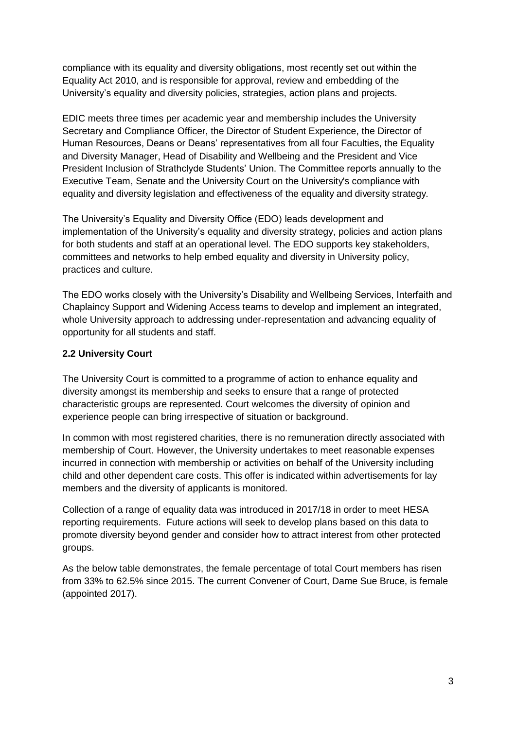compliance with its equality and diversity obligations, most recently set out within the Equality Act 2010, and is responsible for approval, review and embedding of the University's equality and diversity policies, strategies, action plans and projects.

EDIC meets three times per academic year and membership includes the University Secretary and Compliance Officer, the Director of Student Experience, the Director of Human Resources, Deans or Deans' representatives from all four Faculties, the Equality and Diversity Manager, Head of Disability and Wellbeing and the President and Vice President Inclusion of Strathclyde Students' Union. The Committee reports annually to the Executive Team, Senate and the University Court on the University's compliance with equality and diversity legislation and effectiveness of the equality and diversity strategy.

The University's Equality and Diversity Office (EDO) leads development and implementation of the University's equality and diversity strategy, policies and action plans for both students and staff at an operational level. The EDO supports key stakeholders, committees and networks to help embed equality and diversity in University policy, practices and culture.

The EDO works closely with the University's Disability and Wellbeing Services, Interfaith and Chaplaincy Support and Widening Access teams to develop and implement an integrated, whole University approach to addressing under-representation and advancing equality of opportunity for all students and staff.

#### <span id="page-2-0"></span>**2.2 University Court**

The University Court is committed to a programme of action to enhance equality and diversity amongst its membership and seeks to ensure that a range of protected characteristic groups are represented. Court welcomes the diversity of opinion and experience people can bring irrespective of situation or background.

In common with most registered charities, there is no remuneration directly associated with membership of Court. However, the University undertakes to meet reasonable expenses incurred in connection with membership or activities on behalf of the University including child and other dependent care costs. This offer is indicated within advertisements for lay members and the diversity of applicants is monitored.

Collection of a range of equality data was introduced in 2017/18 in order to meet HESA reporting requirements. Future actions will seek to develop plans based on this data to promote diversity beyond gender and consider how to attract interest from other protected groups.

As the below table demonstrates, the female percentage of total Court members has risen from 33% to 62.5% since 2015. The current Convener of Court, Dame Sue Bruce, is female (appointed 2017).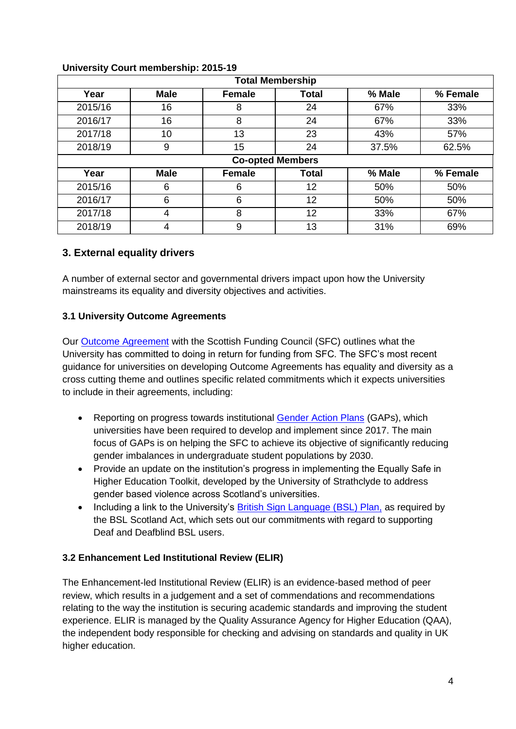| <b>Total Membership</b> |             |               |       |        |          |  |
|-------------------------|-------------|---------------|-------|--------|----------|--|
| Year                    | <b>Male</b> | Female        | Total | % Male | % Female |  |
| 2015/16                 | 16          | 8             | 24    | 67%    | 33%      |  |
| 2016/17                 | 16          | 8             | 24    | 67%    | 33%      |  |
| 2017/18                 | 10          | 13            | 23    | 43%    | 57%      |  |
| 2018/19                 | 9           | 15            | 24    | 37.5%  | 62.5%    |  |
| <b>Co-opted Members</b> |             |               |       |        |          |  |
| Year                    | <b>Male</b> | <b>Female</b> | Total | % Male | % Female |  |
| 2015/16                 | 6           | 6             | 12    | 50%    | 50%      |  |
| 2016/17                 | 6           | 6             | 12    | 50%    | 50%      |  |
| 2017/18                 | 4           | 8             | 12    | 33%    | 67%      |  |
| 2018/19                 | 4           | 9             | 13    | 31%    | 69%      |  |

#### **University Court membership: 2015-19**

#### <span id="page-3-0"></span>**3. External equality drivers**

A number of external sector and governmental drivers impact upon how the University mainstreams its equality and diversity objectives and activities.

#### <span id="page-3-1"></span>**3.1 University Outcome Agreements**

Our [Outcome Agreement](https://www.strath.ac.uk/media/ps/strategyandpolicy/Outcome_Agreement_2017_2020_Final.pdf.pagespeed.ce.Lltz7ZoMnV.pdf) with the Scottish Funding Council (SFC) outlines what the University has committed to doing in return for funding from SFC. The SFC's most recent guidance for universities on developing Outcome Agreements has equality and diversity as a cross cutting theme and outlines specific related commitments which it expects universities to include in their agreements, including:

- Reporting on progress towards institutional [Gender Action Plans](https://www.strath.ac.uk/media/ps/sees/equality/Gender_Action_Plan.pdf) (GAPs), which universities have been required to develop and implement since 2017. The main focus of GAPs is on helping the SFC to achieve its objective of significantly reducing gender imbalances in undergraduate student populations by 2030.
- Provide an update on the institution's progress in implementing the Equally Safe in Higher Education Toolkit, developed by the University of Strathclyde to address gender based violence across Scotland's universities.
- Including a link to the University's [British Sign Language \(BSL\) Plan,](https://www.strath.ac.uk/media/ps/sees/equality/University_of_Strathclyde_British_Sign_Language_Plan_2018-2024.pdf.pagespeed.ce.VAOIeWeVAV.pdf) as required by the BSL Scotland Act, which sets out our commitments with regard to supporting Deaf and Deafblind BSL users.

#### <span id="page-3-2"></span>**3.2 Enhancement Led Institutional Review (ELIR)**

The Enhancement-led Institutional Review (ELIR) is an evidence-based method of peer review, which results in a judgement and a set of commendations and recommendations relating to the way the institution is securing academic standards and improving the student experience. ELIR is managed by the Quality Assurance Agency for Higher Education (QAA), the independent body responsible for checking and advising on standards and quality in UK higher education.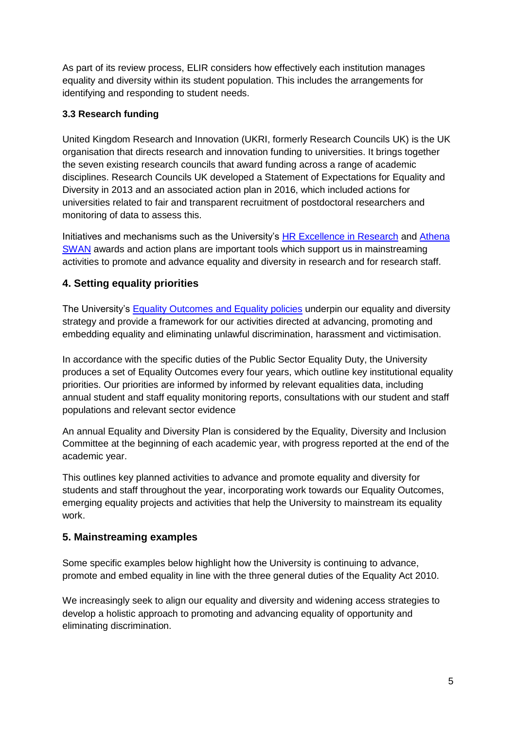As part of its review process, ELIR considers how effectively each institution manages equality and diversity within its student population. This includes the arrangements for identifying and responding to student needs.

### <span id="page-4-0"></span>**3.3 Research funding**

United Kingdom Research and Innovation (UKRI, formerly Research Councils UK) is the UK organisation that directs research and innovation funding to universities. It brings together the seven existing research councils that award funding across a range of academic disciplines. Research Councils UK developed a Statement of Expectations for Equality and Diversity in 2013 and an associated action plan in 2016, which included actions for universities related to fair and transparent recruitment of postdoctoral researchers and monitoring of data to assess this.

Initiatives and mechanisms such as the University's [HR Excellence in Research](https://www.strath.ac.uk/euhrexcellence/) and Athena [SWAN](https://www.ecu.ac.uk/equality-charters/athena-swan/) awards and action plans are important tools which support us in mainstreaming activities to promote and advance equality and diversity in research and for research staff.

# <span id="page-4-1"></span>**4. Setting equality priorities**

The University's [Equality Outcomes and Equality policies](https://www.strath.ac.uk/equalitydiversity) underpin our equality and diversity strategy and provide a framework for our activities directed at advancing, promoting and embedding equality and eliminating unlawful discrimination, harassment and victimisation.

In accordance with the specific duties of the Public Sector Equality Duty, the University produces a set of Equality Outcomes every four years, which outline key institutional equality priorities. Our priorities are informed by informed by relevant equalities data, including annual student and staff equality monitoring reports, consultations with our student and staff populations and relevant sector evidence

An annual Equality and Diversity Plan is considered by the Equality, Diversity and Inclusion Committee at the beginning of each academic year, with progress reported at the end of the academic year.

This outlines key planned activities to advance and promote equality and diversity for students and staff throughout the year, incorporating work towards our Equality Outcomes, emerging equality projects and activities that help the University to mainstream its equality work.

# <span id="page-4-2"></span>**5. Mainstreaming examples**

Some specific examples below highlight how the University is continuing to advance, promote and embed equality in line with the three general duties of the Equality Act 2010.

We increasingly seek to align our equality and diversity and widening access strategies to develop a holistic approach to promoting and advancing equality of opportunity and eliminating discrimination.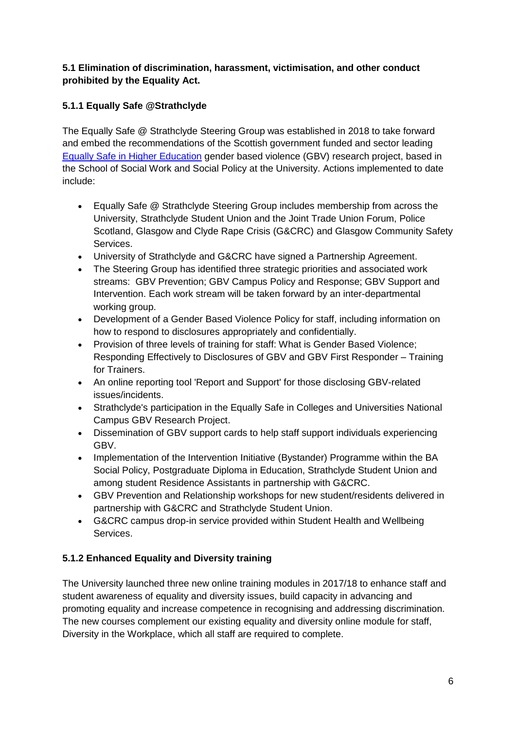#### <span id="page-5-0"></span>**5.1 Elimination of discrimination, harassment, victimisation, and other conduct prohibited by the Equality Act.**

# **5.1.1 Equally Safe @Strathclyde**

The Equally Safe @ Strathclyde Steering Group was established in 2018 to take forward and embed the recommendations of the Scottish government funded and sector leading [Equally Safe in Higher Education](https://www.strath.ac.uk/humanities/schoolofsocialworksocialpolicy/equallysafeinhighereducation/eshetoolkit/) gender based violence (GBV) research project, based in the School of Social Work and Social Policy at the University. Actions implemented to date include:

- Equally Safe @ Strathclyde Steering Group includes membership from across the University, Strathclyde Student Union and the Joint Trade Union Forum, Police Scotland, Glasgow and Clyde Rape Crisis (G&CRC) and Glasgow Community Safety Services.
- University of Strathclyde and G&CRC have signed a Partnership Agreement.
- The Steering Group has identified three strategic priorities and associated work streams: GBV Prevention; GBV Campus Policy and Response; GBV Support and Intervention. Each work stream will be taken forward by an inter-departmental working group.
- Development of a Gender Based Violence Policy for staff, including information on how to respond to disclosures appropriately and confidentially.
- Provision of three levels of training for staff: What is Gender Based Violence; Responding Effectively to Disclosures of GBV and GBV First Responder – Training for Trainers.
- An online reporting tool 'Report and Support' for those disclosing GBV-related issues/incidents.
- Strathclyde's participation in the Equally Safe in Colleges and Universities National Campus GBV Research Project.
- Dissemination of GBV support cards to help staff support individuals experiencing GBV.
- Implementation of the Intervention Initiative (Bystander) Programme within the BA Social Policy, Postgraduate Diploma in Education, Strathclyde Student Union and among student Residence Assistants in partnership with G&CRC.
- GBV Prevention and Relationship workshops for new student/residents delivered in partnership with G&CRC and Strathclyde Student Union.
- G&CRC campus drop-in service provided within Student Health and Wellbeing Services.

# **5.1.2 Enhanced Equality and Diversity training**

The University launched three new online training modules in 2017/18 to enhance staff and student awareness of equality and diversity issues, build capacity in advancing and promoting equality and increase competence in recognising and addressing discrimination. The new courses complement our existing equality and diversity online module for staff, Diversity in the Workplace, which all staff are required to complete.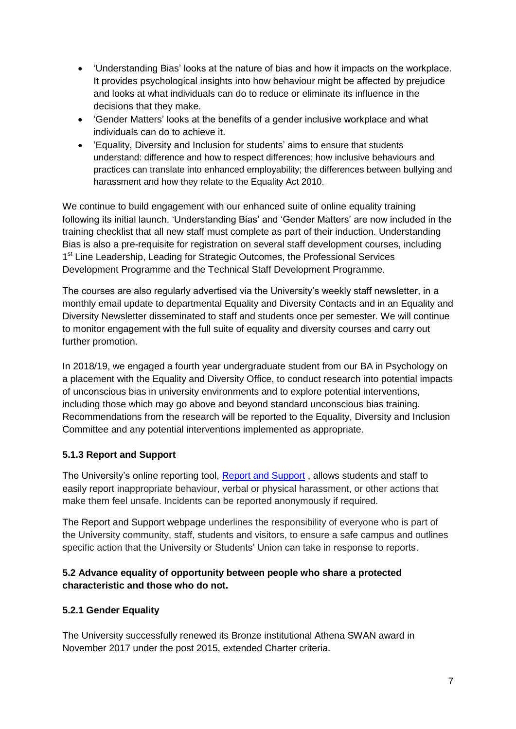- 'Understanding Bias' looks at the nature of bias and how it impacts on the workplace. It provides psychological insights into how behaviour might be affected by prejudice and looks at what individuals can do to reduce or eliminate its influence in the decisions that they make.
- 'Gender Matters' looks at the benefits of a gender inclusive workplace and what individuals can do to achieve it.
- 'Equality, Diversity and Inclusion for students' aims to ensure that students understand: difference and how to respect differences; how inclusive behaviours and practices can translate into enhanced employability; the differences between bullying and harassment and how they relate to the Equality Act 2010.

We continue to build engagement with our enhanced suite of online equality training following its initial launch. 'Understanding Bias' and 'Gender Matters' are now included in the training checklist that all new staff must complete as part of their induction. Understanding Bias is also a pre-requisite for registration on several staff development courses, including 1<sup>st</sup> Line Leadership, Leading for Strategic Outcomes, the Professional Services Development Programme and the Technical Staff Development Programme.

The courses are also regularly advertised via the University's weekly staff newsletter, in a monthly email update to departmental Equality and Diversity Contacts and in an Equality and Diversity Newsletter disseminated to staff and students once per semester. We will continue to monitor engagement with the full suite of equality and diversity courses and carry out further promotion.

In 2018/19, we engaged a fourth year undergraduate student from our BA in Psychology on a placement with the Equality and Diversity Office, to conduct research into potential impacts of unconscious bias in university environments and to explore potential interventions, including those which may go above and beyond standard unconscious bias training. Recommendations from the research will be reported to the Equality, Diversity and Inclusion Committee and any potential interventions implemented as appropriate.

#### **5.1.3 Report and Support**

The University's online reporting tool, [Report and Support](https://www.strath.ac.uk/studywithus/strathlife/reportsupport/) , allows students and staff to easily report inappropriate behaviour, verbal or physical harassment, or other actions that make them feel unsafe. Incidents can be reported anonymously if required.

The Report and Support webpage underlines the responsibility of everyone who is part of the University community, staff, students and visitors, to ensure a safe campus and outlines specific action that the University or Students' Union can take in response to reports.

#### <span id="page-6-0"></span>**5.2 Advance equality of opportunity between people who share a protected characteristic and those who do not.**

#### **5.2.1 Gender Equality**

The University successfully renewed its Bronze institutional Athena SWAN award in November 2017 under the post 2015, extended Charter criteria.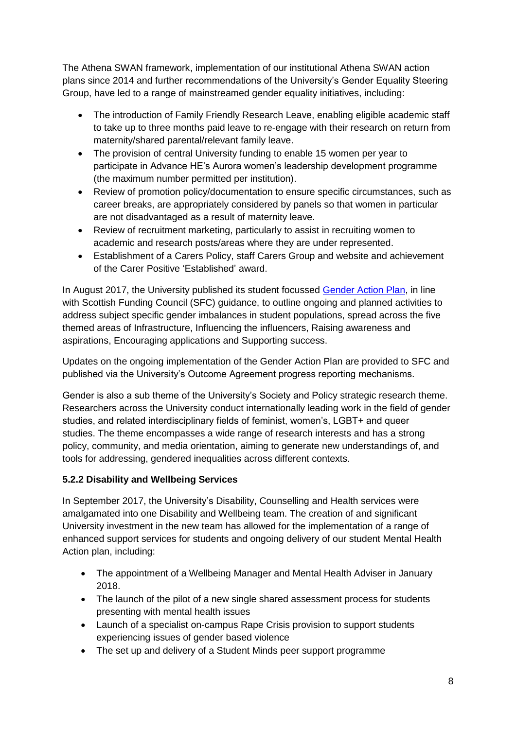The Athena SWAN framework, implementation of our institutional Athena SWAN action plans since 2014 and further recommendations of the University's Gender Equality Steering Group, have led to a range of mainstreamed gender equality initiatives, including:

- The introduction of Family Friendly Research Leave, enabling eligible academic staff to take up to three months paid leave to re-engage with their research on return from maternity/shared parental/relevant family leave.
- The provision of central University funding to enable 15 women per year to participate in Advance HE's Aurora women's leadership development programme (the maximum number permitted per institution).
- Review of promotion policy/documentation to ensure specific circumstances, such as career breaks, are appropriately considered by panels so that women in particular are not disadvantaged as a result of maternity leave.
- Review of recruitment marketing, particularly to assist in recruiting women to academic and research posts/areas where they are under represented.
- Establishment of a Carers Policy, staff Carers Group and website and achievement of the Carer Positive 'Established' award.

In August 2017, the University published its student focussed [Gender Action Plan,](https://www.strath.ac.uk/media/ps/sees/equality/Gender_Action_Plan.pdf) in line with Scottish Funding Council (SFC) guidance, to outline ongoing and planned activities to address subject specific gender imbalances in student populations, spread across the five themed areas of Infrastructure, Influencing the influencers, Raising awareness and aspirations, Encouraging applications and Supporting success.

Updates on the ongoing implementation of the Gender Action Plan are provided to SFC and published via the University's Outcome Agreement progress reporting mechanisms.

Gender is also a sub theme of the University's Society and Policy strategic research theme. Researchers across the University conduct internationally leading work in the field of gender studies, and related interdisciplinary fields of feminist, women's, LGBT+ and queer studies. The theme encompasses a wide range of research interests and has a strong policy, community, and media orientation, aiming to generate new understandings of, and tools for addressing, gendered inequalities across different contexts.

# **5.2.2 Disability and Wellbeing Services**

In September 2017, the University's Disability, Counselling and Health services were amalgamated into one Disability and Wellbeing team. The creation of and significant University investment in the new team has allowed for the implementation of a range of enhanced support services for students and ongoing delivery of our student Mental Health Action plan, including:

- The appointment of a Wellbeing Manager and Mental Health Adviser in January 2018.
- The launch of the pilot of a new single shared assessment process for students presenting with mental health issues
- Launch of a specialist on-campus Rape Crisis provision to support students experiencing issues of gender based violence
- The set up and delivery of a Student Minds peer support programme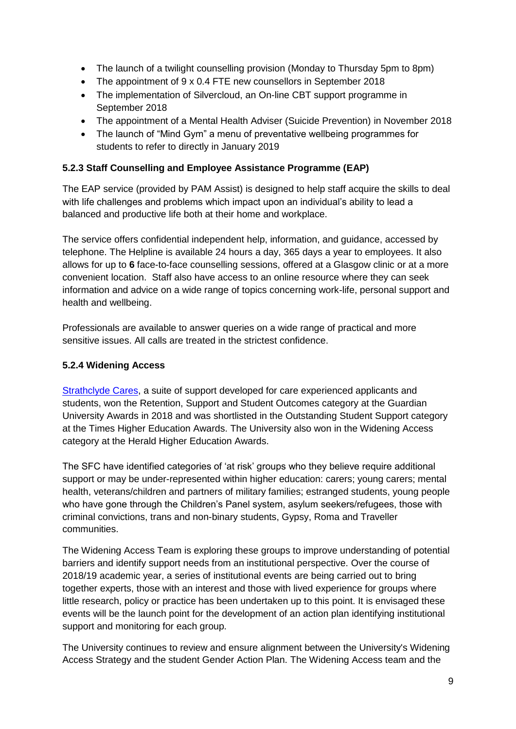- The launch of a twilight counselling provision (Monday to Thursday 5pm to 8pm)
- The appointment of 9 x 0.4 FTE new counsellors in September 2018
- The implementation of Silvercloud, an On-line CBT support programme in September 2018
- The appointment of a Mental Health Adviser (Suicide Prevention) in November 2018
- The launch of "Mind Gym" a menu of preventative wellbeing programmes for students to refer to directly in January 2019

# **5.2.3 Staff Counselling and Employee Assistance Programme (EAP)**

The EAP service (provided by PAM Assist) is designed to help staff acquire the skills to deal with life challenges and problems which impact upon an individual's ability to lead a balanced and productive life both at their home and workplace.

The service offers confidential independent help, information, and guidance, accessed by telephone. The Helpline is available 24 hours a day, 365 days a year to employees. It also allows for up to **6** face-to-face counselling sessions, offered at a Glasgow clinic or at a more convenient location. Staff also have access to an online resource where they can seek information and advice on a wide range of topics concerning work-life, personal support and health and wellbeing.

Professionals are available to answer queries on a wide range of practical and more sensitive issues. All calls are treated in the strictest confidence.

# **5.2.4 Widening Access**

[Strathclyde Cares,](https://www.strath.ac.uk/studywithus/undergraduate/strathclydecares/) a suite of support developed for care experienced applicants and students, won the Retention, Support and Student Outcomes category at the Guardian University Awards in 2018 and was shortlisted in the Outstanding Student Support category at the Times Higher Education Awards. The University also won in the Widening Access category at the Herald Higher Education Awards.

The SFC have identified categories of 'at risk' groups who they believe require additional support or may be under-represented within higher education: carers; young carers; mental health, veterans/children and partners of military families; estranged students, young people who have gone through the Children's Panel system, asylum seekers/refugees, those with criminal convictions, trans and non-binary students, Gypsy, Roma and Traveller communities.

The Widening Access Team is exploring these groups to improve understanding of potential barriers and identify support needs from an institutional perspective. Over the course of 2018/19 academic year, a series of institutional events are being carried out to bring together experts, those with an interest and those with lived experience for groups where little research, policy or practice has been undertaken up to this point. It is envisaged these events will be the launch point for the development of an action plan identifying institutional support and monitoring for each group.

The University continues to review and ensure alignment between the University's Widening Access Strategy and the student Gender Action Plan. The Widening Access team and the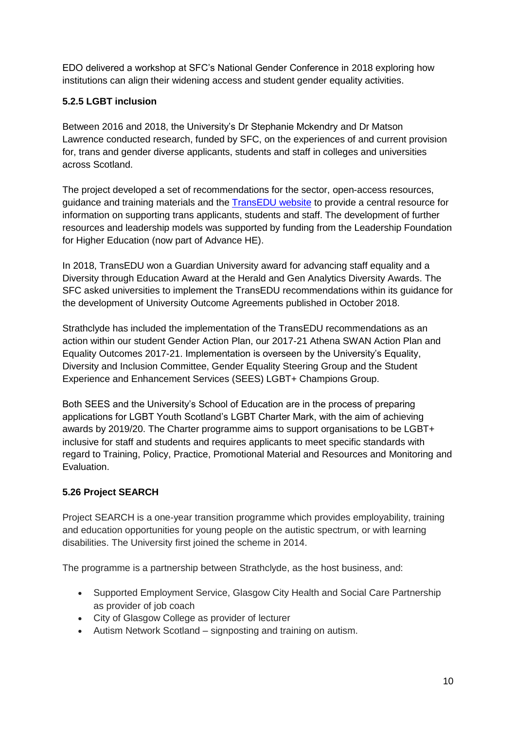EDO delivered a workshop at SFC's National Gender Conference in 2018 exploring how institutions can align their widening access and student gender equality activities.

# **5.2.5 LGBT inclusion**

Between 2016 and 2018, the University's Dr Stephanie Mckendry and Dr Matson Lawrence conducted research, funded by SFC, on the experiences of and current provision for, trans and gender diverse applicants, students and staff in colleges and universities across Scotland.

The project developed a set of recommendations for the sector, open-access resources, guidance and training materials and the [TransEDU website](https://www.trans.ac.uk/) to provide a central resource for information on supporting trans applicants, students and staff. The development of further resources and leadership models was supported by funding from the Leadership Foundation for Higher Education (now part of Advance HE).

In 2018, TransEDU won a Guardian University award for advancing staff equality and a Diversity through Education Award at the Herald and Gen Analytics Diversity Awards. The SFC asked universities to implement the TransEDU recommendations within its guidance for the development of University Outcome Agreements published in October 2018.

Strathclyde has included the implementation of the TransEDU recommendations as an action within our student Gender Action Plan, our 2017-21 Athena SWAN Action Plan and Equality Outcomes 2017-21. Implementation is overseen by the University's Equality, Diversity and Inclusion Committee, Gender Equality Steering Group and the Student Experience and Enhancement Services (SEES) LGBT+ Champions Group.

Both SEES and the University's School of Education are in the process of preparing applications for LGBT Youth Scotland's LGBT Charter Mark, with the aim of achieving awards by 2019/20. The Charter programme aims to support organisations to be LGBT+ inclusive for staff and students and requires applicants to meet specific standards with regard to Training, Policy, Practice, Promotional Material and Resources and Monitoring and Evaluation.

# **5.26 Project SEARCH**

Project SEARCH is a one-year transition programme which provides employability, training and education opportunities for young people on the autistic spectrum, or with learning disabilities. The University first joined the scheme in 2014.

The programme is a partnership between Strathclyde, as the host business, and:

- Supported Employment Service, Glasgow City Health and Social Care Partnership as provider of job coach
- City of Glasgow College as provider of lecturer
- Autism Network Scotland signposting and training on autism.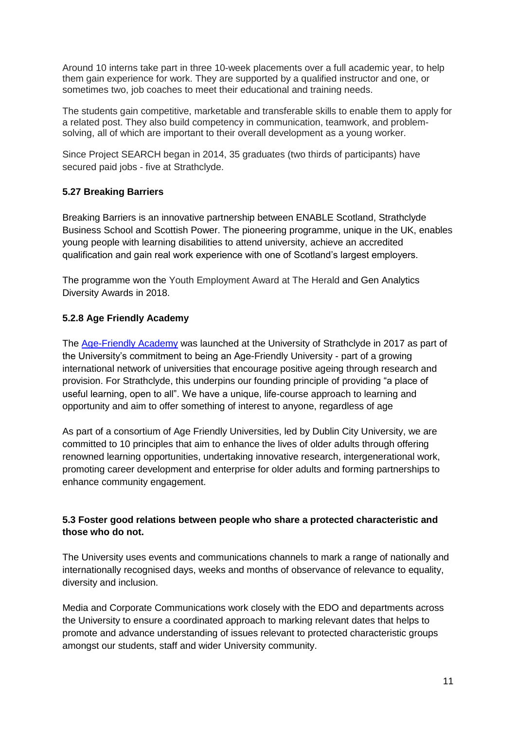Around 10 interns take part in three 10-week placements over a full academic year, to help them gain experience for work. They are supported by a qualified instructor and one, or sometimes two, job coaches to meet their educational and training needs.

The students gain competitive, marketable and transferable skills to enable them to apply for a related post. They also build competency in communication, teamwork, and problemsolving, all of which are important to their overall development as a young worker.

Since Project SEARCH began in 2014, 35 graduates (two thirds of participants) have secured paid jobs - five at Strathclyde.

#### **5.27 Breaking Barriers**

Breaking Barriers is an innovative partnership between ENABLE Scotland, Strathclyde Business School and Scottish Power. The pioneering programme, unique in the UK, enables young people with learning disabilities to attend university, achieve an accredited qualification and gain real work experience with one of Scotland's largest employers.

The programme won the Youth Employment Award at The Herald and Gen Analytics Diversity Awards in 2018.

#### **5.2.8 Age Friendly Academy**

The [Age-Friendly Academy](https://www.strath.ac.uk/studywithus/centreforlifelonglearning/age-friendlyacademy/) was launched at the University of Strathclyde in 2017 as part of the University's commitment to being an Age-Friendly University - part of a growing international network of universities that encourage positive ageing through research and provision. For Strathclyde, this underpins our founding principle of providing "a place of useful learning, open to all". We have a unique, life-course approach to learning and opportunity and aim to offer something of interest to anyone, regardless of age

As part of a consortium of Age Friendly Universities, led by Dublin City University, we are committed to 10 principles that aim to enhance the lives of older adults through offering renowned learning opportunities, undertaking innovative research, intergenerational work, promoting career development and enterprise for older adults and forming partnerships to enhance community engagement.

#### <span id="page-10-0"></span>**5.3 Foster good relations between people who share a protected characteristic and those who do not.**

The University uses events and communications channels to mark a range of nationally and internationally recognised days, weeks and months of observance of relevance to equality, diversity and inclusion.

Media and Corporate Communications work closely with the EDO and departments across the University to ensure a coordinated approach to marking relevant dates that helps to promote and advance understanding of issues relevant to protected characteristic groups amongst our students, staff and wider University community.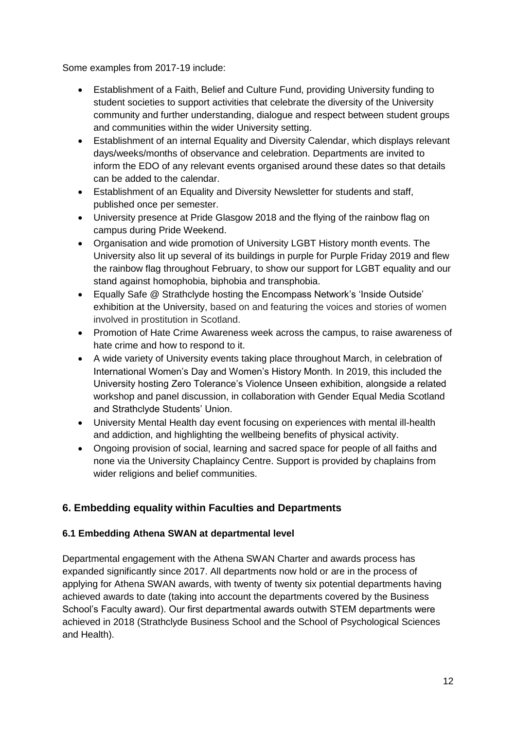Some examples from 2017-19 include:

- Establishment of a Faith, Belief and Culture Fund, providing University funding to student societies to support activities that celebrate the diversity of the University community and further understanding, dialogue and respect between student groups and communities within the wider University setting.
- Establishment of an internal Equality and Diversity Calendar, which displays relevant days/weeks/months of observance and celebration. Departments are invited to inform the EDO of any relevant events organised around these dates so that details can be added to the calendar.
- Establishment of an Equality and Diversity Newsletter for students and staff, published once per semester.
- University presence at Pride Glasgow 2018 and the flying of the rainbow flag on campus during Pride Weekend.
- Organisation and wide promotion of University LGBT History month events. The University also lit up several of its buildings in purple for Purple Friday 2019 and flew the rainbow flag throughout February, to show our support for LGBT equality and our stand against homophobia, biphobia and transphobia.
- Equally Safe @ Strathclyde hosting the Encompass Network's 'Inside Outside' exhibition at the University, based on and featuring the voices and stories of women involved in prostitution in Scotland.
- Promotion of Hate Crime Awareness week across the campus, to raise awareness of hate crime and how to respond to it.
- A wide variety of University events taking place throughout March, in celebration of International Women's Day and Women's History Month. In 2019, this included the University hosting Zero Tolerance's Violence Unseen exhibition, alongside a related workshop and panel discussion, in collaboration with Gender Equal Media Scotland and Strathclyde Students' Union.
- University Mental Health day event focusing on experiences with mental ill-health and addiction, and highlighting the wellbeing benefits of physical activity.
- Ongoing provision of social, learning and sacred space for people of all faiths and none via the University Chaplaincy Centre. Support is provided by chaplains from wider religions and belief communities.

# <span id="page-11-0"></span>**6. Embedding equality within Faculties and Departments**

#### <span id="page-11-1"></span>**6.1 Embedding Athena SWAN at departmental level**

Departmental engagement with the Athena SWAN Charter and awards process has expanded significantly since 2017. All departments now hold or are in the process of applying for Athena SWAN awards, with twenty of twenty six potential departments having achieved awards to date (taking into account the departments covered by the Business School's Faculty award). Our first departmental awards outwith STEM departments were achieved in 2018 (Strathclyde Business School and the School of Psychological Sciences and Health).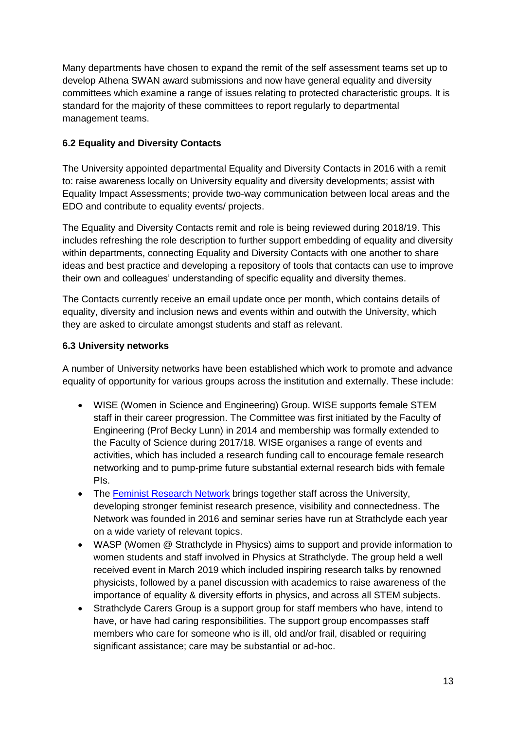Many departments have chosen to expand the remit of the self assessment teams set up to develop Athena SWAN award submissions and now have general equality and diversity committees which examine a range of issues relating to protected characteristic groups. It is standard for the majority of these committees to report regularly to departmental management teams.

#### <span id="page-12-0"></span>**6.2 Equality and Diversity Contacts**

The University appointed departmental Equality and Diversity Contacts in 2016 with a remit to: raise awareness locally on University equality and diversity developments; assist with Equality Impact Assessments; provide two-way communication between local areas and the EDO and contribute to equality events/ projects.

The Equality and Diversity Contacts remit and role is being reviewed during 2018/19. This includes refreshing the role description to further support embedding of equality and diversity within departments, connecting Equality and Diversity Contacts with one another to share ideas and best practice and developing a repository of tools that contacts can use to improve their own and colleagues' understanding of specific equality and diversity themes.

The Contacts currently receive an email update once per month, which contains details of equality, diversity and inclusion news and events within and outwith the University, which they are asked to circulate amongst students and staff as relevant.

#### <span id="page-12-1"></span>**6.3 University networks**

A number of University networks have been established which work to promote and advance equality of opportunity for various groups across the institution and externally. These include:

- WISE (Women in Science and Engineering) Group. WISE supports female STEM staff in their career progression. The Committee was first initiated by the Faculty of Engineering (Prof Becky Lunn) in 2014 and membership was formally extended to the Faculty of Science during 2017/18. WISE organises a range of events and activities, which has included a research funding call to encourage female research networking and to pump-prime future substantial external research bids with female PIs.
- The [Feminist Research Network](http://sufeministnetwork.blogspot.com/p/front-page.html) brings together staff across the University, developing stronger feminist research presence, visibility and connectedness. The Network was founded in 2016 and seminar series have run at Strathclyde each year on a wide variety of relevant topics.
- WASP (Women @ Strathclyde in Physics) aims to support and provide information to women students and staff involved in Physics at Strathclyde. The group held a well received event in March 2019 which included inspiring research talks by renowned physicists, followed by a panel discussion with academics to raise awareness of the importance of equality & diversity efforts in physics, and across all STEM subjects.
- Strathclyde Carers Group is a support group for staff members who have, intend to have, or have had caring responsibilities. The support group encompasses staff members who care for someone who is ill, old and/or frail, disabled or requiring significant assistance; care may be substantial or ad-hoc.